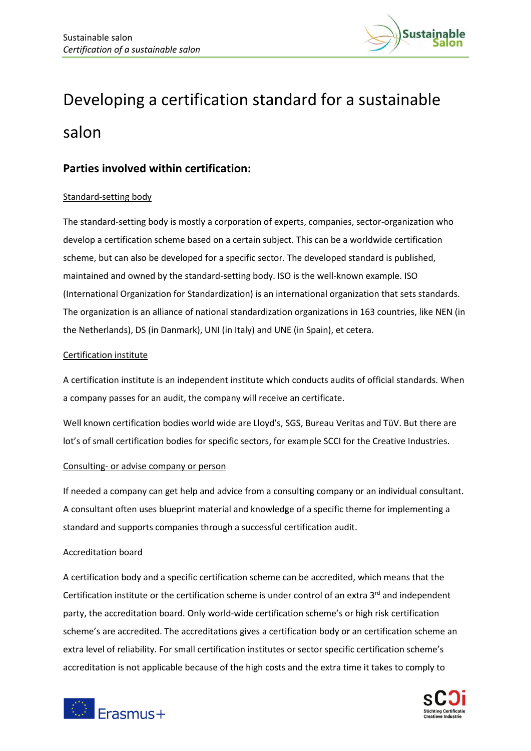

# Developing a certification standard for a sustainable salon

## **Parties involved within certification:**

### Standard-setting body

The standard-setting body is mostly a corporation of experts, companies, sector-organization who develop a certification scheme based on a certain subject. This can be a worldwide certification scheme, but can also be developed for a specific sector. The developed standard is published, maintained and owned by the standard-setting body. ISO is the well-known example. ISO (International Organization for Standardization) is an international organization that sets standards. The organization is an alliance of national standardization organizations in 163 countries, like NEN (in the Netherlands), DS (in Danmark), UNI (in Italy) and UNE (in Spain), et cetera.

### Certification institute

A certification institute is an independent institute which conducts audits of official standards. When a company passes for an audit, the company will receive an certificate.

Well known certification bodies world wide are Lloyd's, SGS, Bureau Veritas and TüV. But there are lot's of small certification bodies for specific sectors, for example SCCI for the Creative Industries.

#### Consulting- or advise company or person

If needed a company can get help and advice from a consulting company or an individual consultant. A consultant often uses blueprint material and knowledge of a specific theme for implementing a standard and supports companies through a successful certification audit.

#### Accreditation board

A certification body and a specific certification scheme can be accredited, which means that the Certification institute or the certification scheme is under control of an extra 3<sup>rd</sup> and independent party, the accreditation board. Only world-wide certification scheme's or high risk certification scheme's are accredited. The accreditations gives a certification body or an certification scheme an extra level of reliability. For small certification institutes or sector specific certification scheme's accreditation is not applicable because of the high costs and the extra time it takes to comply to